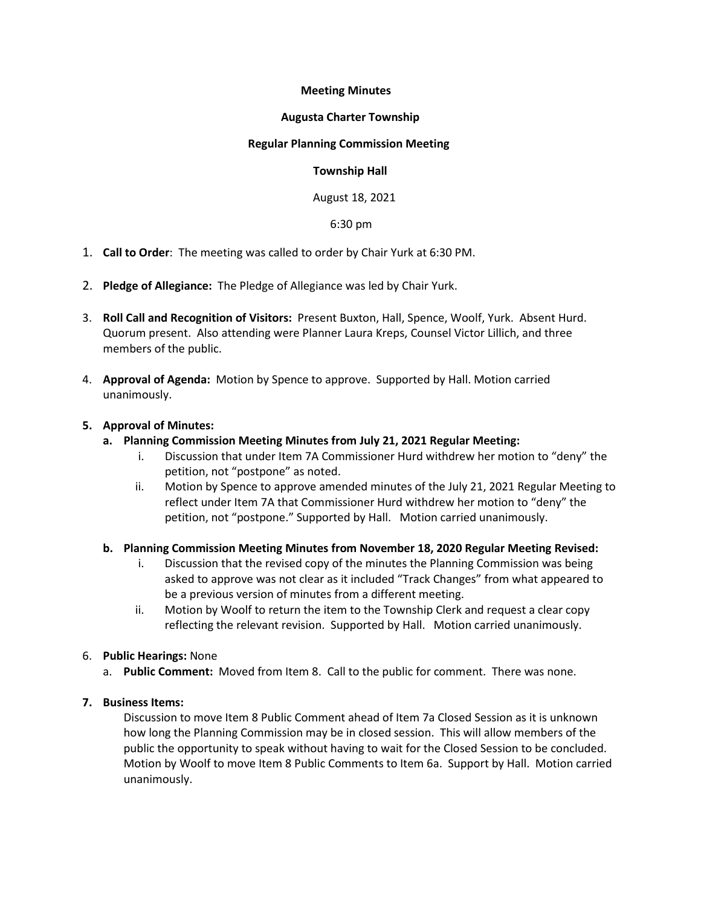# **Meeting Minutes**

## **Augusta Charter Township**

### **Regular Planning Commission Meeting**

### **Township Hall**

August 18, 2021

#### 6:30 pm

- 1. **Call to Order**: The meeting was called to order by Chair Yurk at 6:30 PM.
- 2. **Pledge of Allegiance:** The Pledge of Allegiance was led by Chair Yurk.
- 3. **Roll Call and Recognition of Visitors:** Present Buxton, Hall, Spence, Woolf, Yurk. Absent Hurd. Quorum present. Also attending were Planner Laura Kreps, Counsel Victor Lillich, and three members of the public.
- 4. **Approval of Agenda:** Motion by Spence to approve. Supported by Hall. Motion carried unanimously.

#### **5. Approval of Minutes:**

- **a. Planning Commission Meeting Minutes from July 21, 2021 Regular Meeting:**
	- i. Discussion that under Item 7A Commissioner Hurd withdrew her motion to "deny" the petition, not "postpone" as noted.
	- ii. Motion by Spence to approve amended minutes of the July 21, 2021 Regular Meeting to reflect under Item 7A that Commissioner Hurd withdrew her motion to "deny" the petition, not "postpone." Supported by Hall. Motion carried unanimously.

## **b. Planning Commission Meeting Minutes from November 18, 2020 Regular Meeting Revised:**

- i. Discussion that the revised copy of the minutes the Planning Commission was being asked to approve was not clear as it included "Track Changes" from what appeared to be a previous version of minutes from a different meeting.
- ii. Motion by Woolf to return the item to the Township Clerk and request a clear copy reflecting the relevant revision. Supported by Hall. Motion carried unanimously.
- 6. **Public Hearings:** None
	- a. **Public Comment:** Moved from Item 8. Call to the public for comment. There was none.

## **7. Business Items:**

Discussion to move Item 8 Public Comment ahead of Item 7a Closed Session as it is unknown how long the Planning Commission may be in closed session. This will allow members of the public the opportunity to speak without having to wait for the Closed Session to be concluded. Motion by Woolf to move Item 8 Public Comments to Item 6a. Support by Hall. Motion carried unanimously.